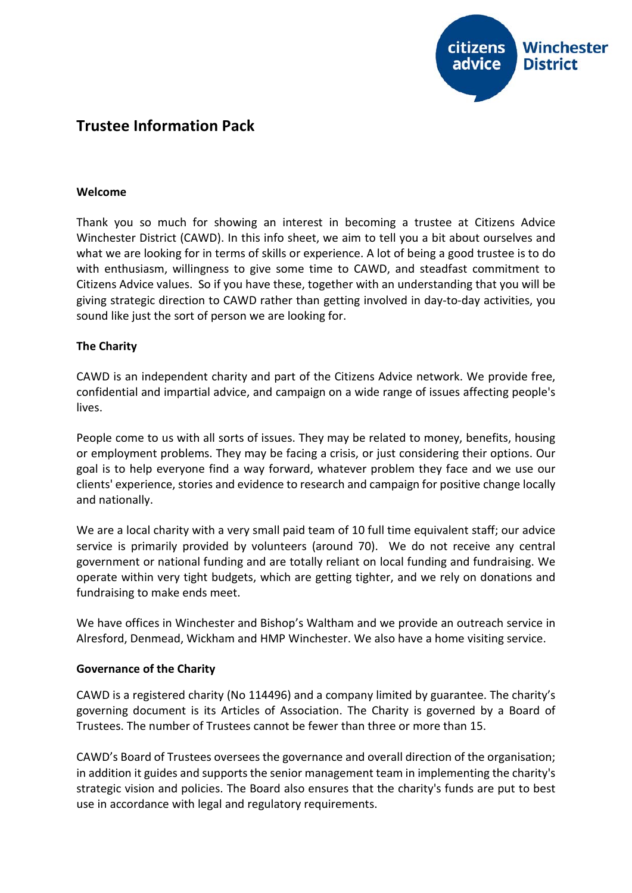

# **Trustee Information Pack**

### **Welcome**

Thank you so much for showing an interest in becoming a trustee at Citizens Advice Winchester District (CAWD). In this info sheet, we aim to tell you a bit about ourselves and what we are looking for in terms of skills or experience. A lot of being a good trustee is to do with enthusiasm, willingness to give some time to CAWD, and steadfast commitment to Citizens Advice values. So if you have these, together with an understanding that you will be giving strategic direction to CAWD rather than getting involved in day-to-day activities, you sound like just the sort of person we are looking for.

### **The Charity**

CAWD is an independent charity and part of the Citizens Advice network. We provide free, confidential and impartial advice, and campaign on a wide range of issues affecting people's lives.

People come to us with all sorts of issues. They may be related to money, benefits, housing or employment problems. They may be facing a crisis, or just considering their options. Our goal is to help everyone find a way forward, whatever problem they face and we use our clients' experience, stories and evidence to research and campaign for positive change locally and nationally.

We are a local charity with a very small paid team of 10 full time equivalent staff; our advice service is primarily provided by volunteers (around 70). We do not receive any central government or national funding and are totally reliant on local funding and fundraising. We operate within very tight budgets, which are getting tighter, and we rely on donations and fundraising to make ends meet.

We have offices in Winchester and Bishop's Waltham and we provide an outreach service in Alresford, Denmead, Wickham and HMP Winchester. We also have a home visiting service.

### **Governance of the Charity**

CAWD is a registered charity (No 114496) and a company limited by guarantee. The charity's governing document is its Articles of Association. The Charity is governed by a Board of Trustees. The number of Trustees cannot be fewer than three or more than 15.

CAWD's Board of Trustees oversees the governance and overall direction of the organisation; in addition it guides and supports the senior management team in implementing the charity's strategic vision and policies. The Board also ensures that the charity's funds are put to best use in accordance with legal and regulatory requirements.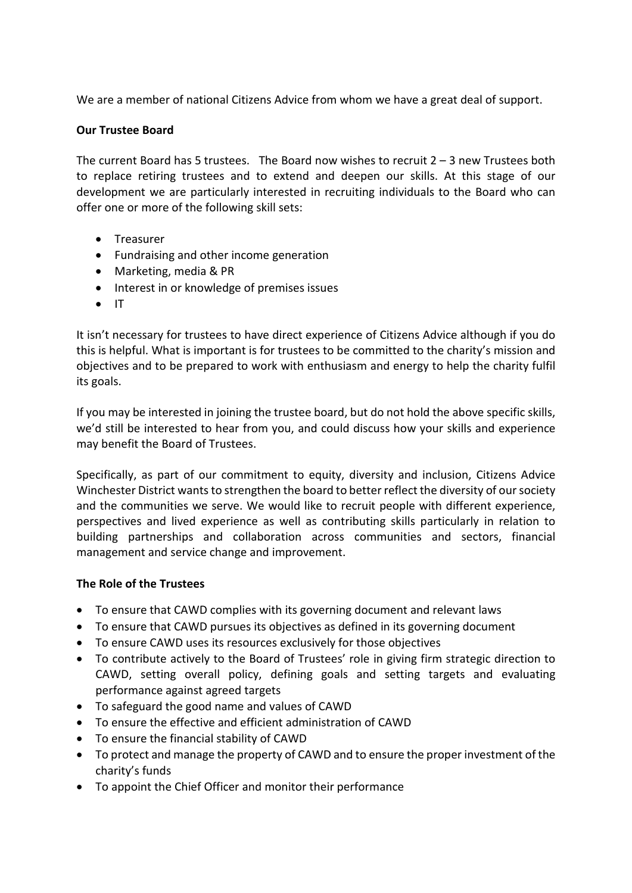We are a member of national Citizens Advice from whom we have a great deal of support.

## **Our Trustee Board**

The current Board has 5 trustees. The Board now wishes to recruit  $2 - 3$  new Trustees both to replace retiring trustees and to extend and deepen our skills. At this stage of our development we are particularly interested in recruiting individuals to the Board who can offer one or more of the following skill sets:

- Treasurer
- Fundraising and other income generation
- Marketing, media & PR
- Interest in or knowledge of premises issues
- IT

It isn't necessary for trustees to have direct experience of Citizens Advice although if you do this is helpful. What is important is for trustees to be committed to the charity's mission and objectives and to be prepared to work with enthusiasm and energy to help the charity fulfil its goals.

If you may be interested in joining the trustee board, but do not hold the above specific skills, we'd still be interested to hear from you, and could discuss how your skills and experience may benefit the Board of Trustees.

Specifically, as part of our commitment to equity, diversity and inclusion, Citizens Advice Winchester District wants to strengthen the board to better reflect the diversity of our society and the communities we serve. We would like to recruit people with different experience, perspectives and lived experience as well as contributing skills particularly in relation to building partnerships and collaboration across communities and sectors, financial management and service change and improvement.

## **The Role of the Trustees**

- To ensure that CAWD complies with its governing document and relevant laws
- To ensure that CAWD pursues its objectives as defined in its governing document
- To ensure CAWD uses its resources exclusively for those objectives
- To contribute actively to the Board of Trustees' role in giving firm strategic direction to CAWD, setting overall policy, defining goals and setting targets and evaluating performance against agreed targets
- To safeguard the good name and values of CAWD
- To ensure the effective and efficient administration of CAWD
- To ensure the financial stability of CAWD
- To protect and manage the property of CAWD and to ensure the proper investment of the charity's funds
- To appoint the Chief Officer and monitor their performance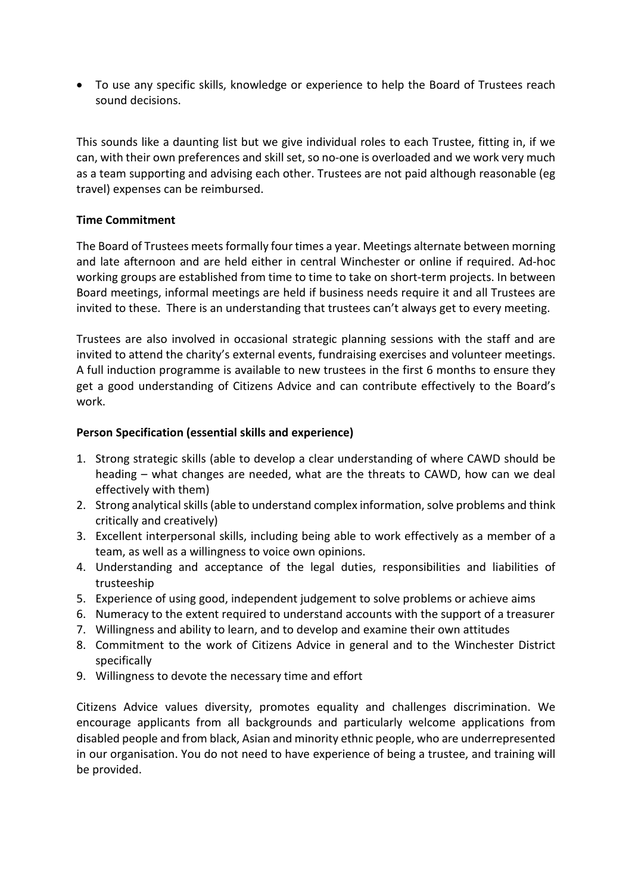• To use any specific skills, knowledge or experience to help the Board of Trustees reach sound decisions.

This sounds like a daunting list but we give individual roles to each Trustee, fitting in, if we can, with their own preferences and skill set, so no-one is overloaded and we work very much as a team supporting and advising each other. Trustees are not paid although reasonable (eg travel) expenses can be reimbursed.

## **Time Commitment**

The Board of Trustees meets formally four times a year. Meetings alternate between morning and late afternoon and are held either in central Winchester or online if required. Ad-hoc working groups are established from time to time to take on short-term projects. In between Board meetings, informal meetings are held if business needs require it and all Trustees are invited to these. There is an understanding that trustees can't always get to every meeting.

Trustees are also involved in occasional strategic planning sessions with the staff and are invited to attend the charity's external events, fundraising exercises and volunteer meetings. A full induction programme is available to new trustees in the first 6 months to ensure they get a good understanding of Citizens Advice and can contribute effectively to the Board's work.

## **Person Specification (essential skills and experience)**

- 1. Strong strategic skills (able to develop a clear understanding of where CAWD should be heading – what changes are needed, what are the threats to CAWD, how can we deal effectively with them)
- 2. Strong analytical skills (able to understand complex information, solve problems and think critically and creatively)
- 3. Excellent interpersonal skills, including being able to work effectively as a member of a team, as well as a willingness to voice own opinions.
- 4. Understanding and acceptance of the legal duties, responsibilities and liabilities of trusteeship
- 5. Experience of using good, independent judgement to solve problems or achieve aims
- 6. Numeracy to the extent required to understand accounts with the support of a treasurer
- 7. Willingness and ability to learn, and to develop and examine their own attitudes
- 8. Commitment to the work of Citizens Advice in general and to the Winchester District specifically
- 9. Willingness to devote the necessary time and effort

Citizens Advice values diversity, promotes equality and challenges discrimination. We encourage applicants from all backgrounds and particularly welcome applications from disabled people and from black, Asian and minority ethnic people, who are underrepresented in our organisation. You do not need to have experience of being a trustee, and training will be provided.